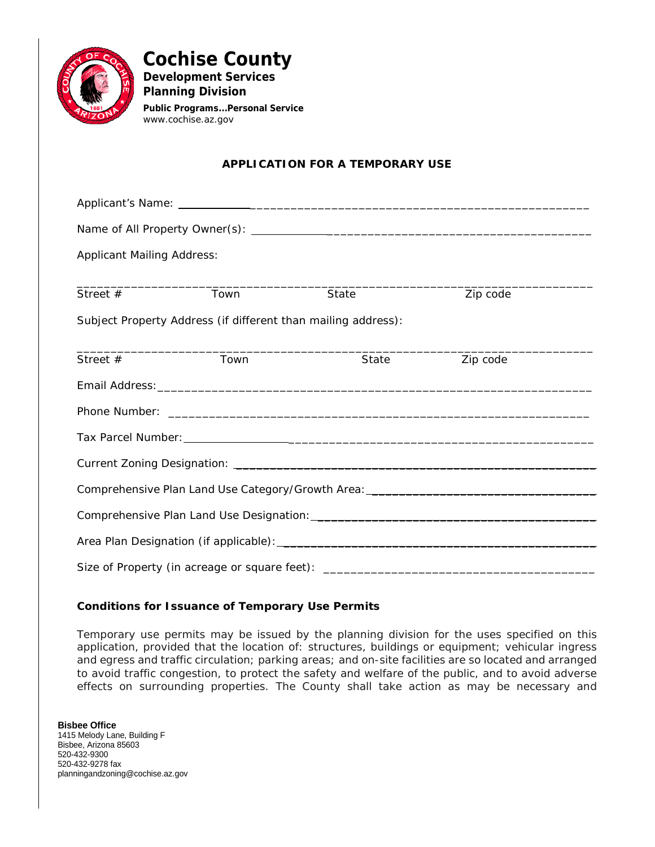

**Cochise County Development Services Planning Division**

*Public Programs...Personal Service* www.cochise.az.gov

# **APPLICATION FOR A TEMPORARY USE**

| <b>Applicant Mailing Address:</b> |                                                               |                                                                                   |          |  |
|-----------------------------------|---------------------------------------------------------------|-----------------------------------------------------------------------------------|----------|--|
| Street $#$                        | Town                                                          | State                                                                             | Zip code |  |
|                                   |                                                               |                                                                                   |          |  |
|                                   | Subject Property Address (if different than mailing address): |                                                                                   |          |  |
| Street #                          | Town                                                          | State                                                                             | Zip code |  |
|                                   |                                                               |                                                                                   |          |  |
|                                   |                                                               |                                                                                   |          |  |
|                                   |                                                               |                                                                                   |          |  |
|                                   |                                                               |                                                                                   |          |  |
|                                   |                                                               |                                                                                   |          |  |
|                                   |                                                               | Comprehensive Plan Land Use Category/Growth Area: ______________________________  |          |  |
|                                   |                                                               |                                                                                   |          |  |
|                                   |                                                               |                                                                                   |          |  |
|                                   |                                                               | Size of Property (in acreage or square feet): ___________________________________ |          |  |

### **Conditions for Issuance of Temporary Use Permits**

Temporary use permits may be issued by the planning division for the uses specified on this application, provided that the location of: structures, buildings or equipment; vehicular ingress and egress and traffic circulation; parking areas; and on-site facilities are so located and arranged to avoid traffic congestion, to protect the safety and welfare of the public, and to avoid adverse effects on surrounding properties. The County shall take action as may be necessary and

**Bisbee Office** 1415 Melody Lane, Building F Bisbee, Arizona 85603 520-432-9300 520-432-9278 fax planningandzoning@cochise.az.gov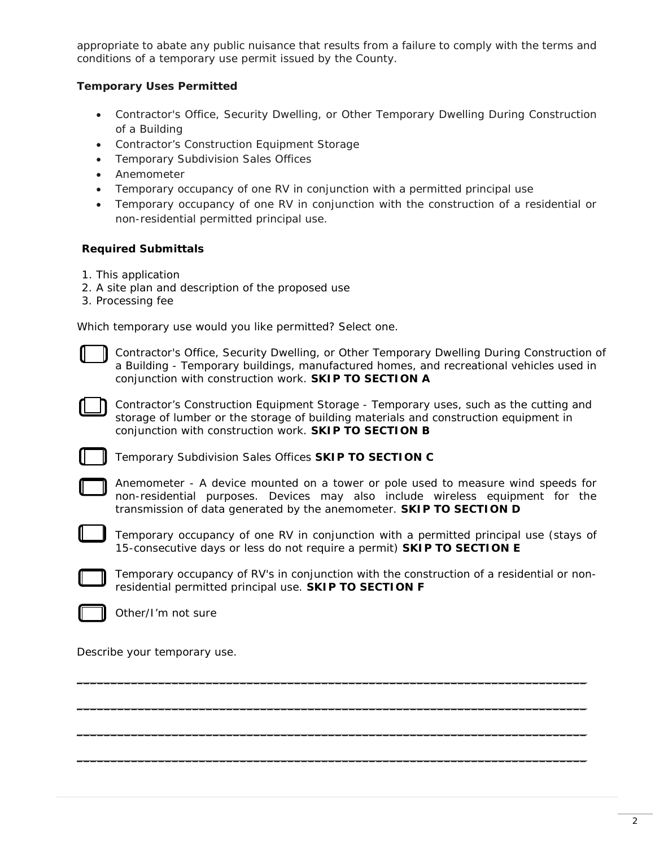appropriate to abate any public nuisance that results from a failure to comply with the terms and conditions of a temporary use permit issued by the County.

## **Temporary Uses Permitted**

- Contractor's Office, Security Dwelling, or Other Temporary Dwelling During Construction of a Building
- Contractor's Construction Equipment Storage
- Temporary Subdivision Sales Offices
- Anemometer
- Temporary occupancy of one RV in conjunction with a permitted principal use
- Temporary occupancy of one RV in conjunction with the construction of a residential or non-residential permitted principal use.

### **Required Submittals**

- 1. This application
- 2. A site plan and description of the proposed use
- 3. Processing fee

Which temporary use would you like permitted? Select one.



Contractor's Office, Security Dwelling, or Other Temporary Dwelling During Construction of a Building - Temporary buildings, manufactured homes, and recreational vehicles used in conjunction with construction work. **SKIP TO [SECTION A](#page-2-0)**

Contractor's Construction Equipment Storage - Temporary uses, such as the cutting and storage of lumber or the storage of building materials and construction equipment in conjunction with construction work. **SKIP TO [SECTION B](#page-2-0)**

Temporary Subdivision Sales Offices **SKIP TO [SECTION C](#page-2-0)**

Anemometer - A device mounted on a tower or pole used to measure wind speeds for non-residential purposes. Devices may also include wireless equipment for the transmission of data generated by the anemometer. **SKIP TO [SECTION D](#page-3-0)**

Temporary occupancy of one RV in conjunction with a permitted principal use (*stays of 15-consecutive days or less do not require a permit*) **[SKIP TO SECTION E](#page-3-0)**



Temporary occupancy of RV's in conjunction with the construction of a residential or nonresidential permitted principal use. **SKIP TO [SECTION F](#page-3-0)**

\_\_\_\_\_\_\_\_\_\_\_\_\_\_\_\_\_\_\_\_\_\_\_\_\_\_\_\_\_\_\_\_\_\_\_\_\_\_\_\_\_\_\_\_\_\_\_\_\_\_\_\_\_\_\_\_\_\_\_\_\_\_\_\_\_\_\_\_\_\_\_\_\_\_\_

\_\_\_\_\_\_\_\_\_\_\_\_\_\_\_\_\_\_\_\_\_\_\_\_\_\_\_\_\_\_\_\_\_\_\_\_\_\_\_\_\_\_\_\_\_\_\_\_\_\_\_\_\_\_\_\_\_\_\_\_\_\_\_\_\_\_\_\_\_\_\_\_\_\_\_

 $\overline{\phantom{a}}$  , and the contribution of the contribution of the contribution of the contribution of the contribution of the contribution of the contribution of the contribution of the contribution of the contribution of the

 $\overline{\phantom{a}}$  , and the contribution of the contribution of the contribution of the contribution of the contribution of the contribution of the contribution of the contribution of the contribution of the contribution of the



Other/I'm not sure

Describe your temporary use.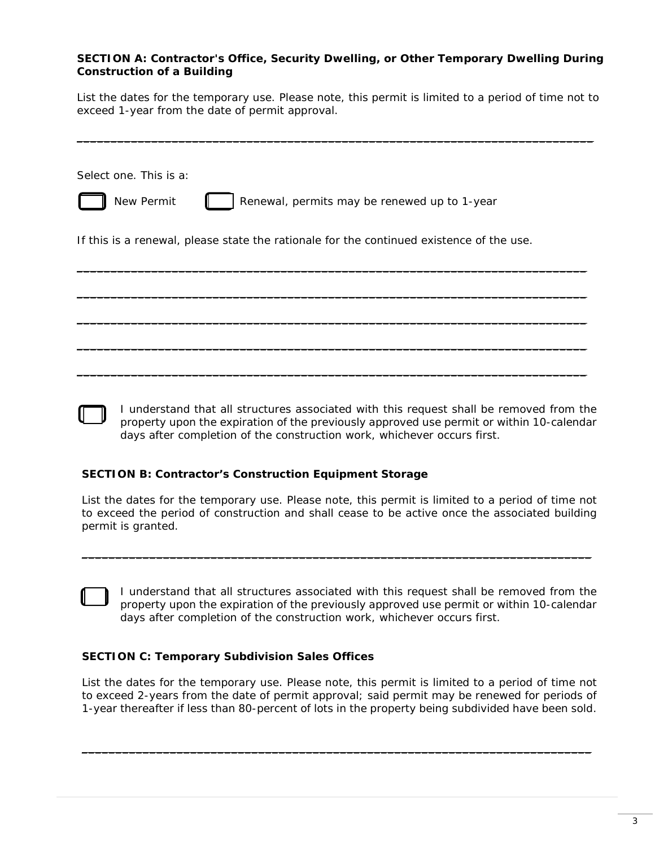#### <span id="page-2-0"></span>**SECTION A: Contractor's Office, Security Dwelling, or Other Temporary Dwelling During Construction of a Building**

List the dates for the temporary use. Please note, this permit is limited to a period of time not to exceed 1-year from the date of permit approval.

\_\_\_\_\_\_\_\_\_\_\_\_\_\_\_\_\_\_\_\_\_\_\_\_\_\_\_\_\_\_\_\_\_\_\_\_\_\_\_\_\_\_\_\_\_\_\_\_\_\_\_\_\_\_\_\_\_\_\_\_\_\_\_\_\_\_\_\_\_\_\_\_\_\_\_\_

| Select one. This is a:                                                                   |
|------------------------------------------------------------------------------------------|
| New Permit<br>Renewal, permits may be renewed up to 1-year                               |
| If this is a renewal, please state the rationale for the continued existence of the use. |
|                                                                                          |
|                                                                                          |
|                                                                                          |
|                                                                                          |

I understand that all structures associated with this request shall be removed from the property upon the expiration of the previously approved use permit or within 10-calendar days after completion of the construction work, whichever occurs first.

#### **SECTION B: Contractor's Construction Equipment Storage**

List the dates for the temporary use. Please note, this permit is limited to a period of time not to exceed the period of construction and shall cease to be active once the associated building permit is granted.

\_\_\_\_\_\_\_\_\_\_\_\_\_\_\_\_\_\_\_\_\_\_\_\_\_\_\_\_\_\_\_\_\_\_\_\_\_\_\_\_\_\_\_\_\_\_\_\_\_\_\_\_\_\_\_\_\_\_\_\_\_\_\_\_\_\_\_\_\_\_\_\_\_\_\_

I understand that all structures associated with this request shall be removed from the property upon the expiration of the previously approved use permit or within 10-calendar days after completion of the construction work, whichever occurs first.

#### **SECTION C: Temporary Subdivision Sales Offices**

List the dates for the temporary use. Please note, this permit is limited to a period of time not to exceed 2-years from the date of permit approval; said permit may be renewed for periods of 1-year thereafter if less than 80-percent of lots in the property being subdivided have been sold.

\_\_\_\_\_\_\_\_\_\_\_\_\_\_\_\_\_\_\_\_\_\_\_\_\_\_\_\_\_\_\_\_\_\_\_\_\_\_\_\_\_\_\_\_\_\_\_\_\_\_\_\_\_\_\_\_\_\_\_\_\_\_\_\_\_\_\_\_\_\_\_\_\_\_\_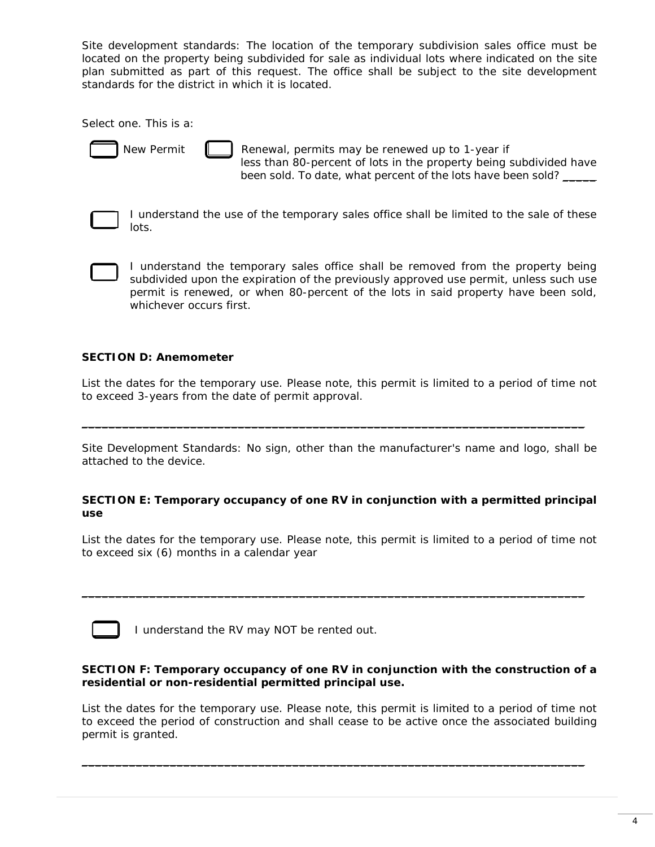<span id="page-3-0"></span>*Site development standards: The location of the temporary subdivision sales office must be located on the property being subdivided for sale as individual lots where indicated on the site plan submitted as part of this request. The office shall be subject to the site development standards for the district in which it is located.* 

Select one. This is a:



New Permit  $\parallel$   $\parallel$  Renewal, permits may be renewed up to 1-year if less than 80-percent of lots in the property being subdivided have been sold. To date, what percent of the lots have been sold? \_\_\_\_\_



I understand the use of the temporary sales office shall be limited to the sale of these lots.

I understand the temporary sales office shall be removed from the property being subdivided upon the expiration of the previously approved use permit, unless such use permit is renewed, or when 80-percent of the lots in said property have been sold, whichever occurs first.

#### **SECTION D: Anemometer**

List the dates for the temporary use. Please note, this permit is limited to a period of time not to exceed 3-years from the date of permit approval.

\_\_\_\_\_\_\_\_\_\_\_\_\_\_\_\_\_\_\_\_\_\_\_\_\_\_\_\_\_\_\_\_\_\_\_\_\_\_\_\_\_\_\_\_\_\_\_\_\_\_\_\_\_\_\_\_\_\_\_\_\_\_\_\_\_\_\_\_\_\_\_\_\_\_

*Site Development Standards: No sign, other than the manufacturer's name and logo, shall be attached to the device.*

#### **SECTION E: Temporary occupancy of one RV in conjunction with a permitted principal use**

List the dates for the temporary use. Please note, this permit is limited to a period of time not to exceed six (6) months in a calendar year

 $\overline{\phantom{a}}$  , and the contribution of the contribution of the contribution of the contribution of the contribution of the contribution of the contribution of the contribution of the contribution of the contribution of the



I understand the RV may NOT be rented out.

#### **SECTION F: Temporary occupancy of one RV in conjunction with the construction of a residential or non-residential permitted principal use.**

List the dates for the temporary use. Please note, this permit is limited to a period of time not to exceed the period of construction and shall cease to be active once the associated building permit is granted.

 $\overline{\phantom{a}}$  , and the contribution of the contribution of the contribution of the contribution of the contribution of the contribution of the contribution of the contribution of the contribution of the contribution of the